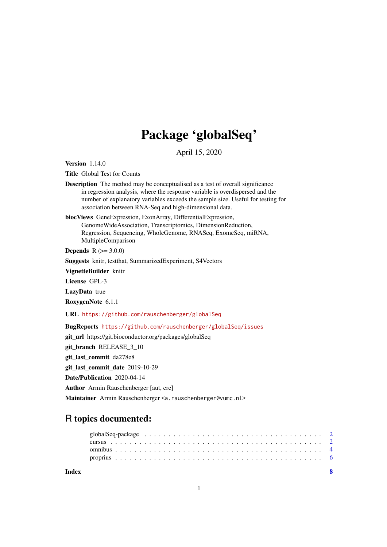# Package 'globalSeq'

April 15, 2020

<span id="page-0-0"></span>Version 1.14.0

Title Global Test for Counts

Description The method may be conceptualised as a test of overall significance in regression analysis, where the response variable is overdispersed and the number of explanatory variables exceeds the sample size. Useful for testing for association between RNA-Seq and high-dimensional data.

biocViews GeneExpression, ExonArray, DifferentialExpression, GenomeWideAssociation, Transcriptomics, DimensionReduction, Regression, Sequencing, WholeGenome, RNASeq, ExomeSeq, miRNA, MultipleComparison

**Depends**  $R (= 3.0.0)$ 

Suggests knitr, testthat, SummarizedExperiment, S4Vectors

VignetteBuilder knitr

License GPL-3

LazyData true

RoxygenNote 6.1.1

URL <https://github.com/rauschenberger/globalSeq>

BugReports <https://github.com/rauschenberger/globalSeq/issues>

git\_url https://git.bioconductor.org/packages/globalSeq

git\_branch RELEASE\_3\_10

git\_last\_commit da278e8

git\_last\_commit\_date 2019-10-29

Date/Publication 2020-04-14

Author Armin Rauschenberger [aut, cre]

Maintainer Armin Rauschenberger <a.rauschenberger@vumc.nl>

## R topics documented:

**Index** [8](#page-7-0) **8**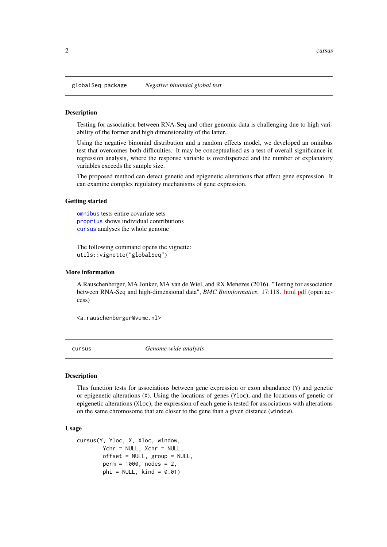<span id="page-1-0"></span>globalSeq-package *Negative binomial global test*

#### <span id="page-1-2"></span>Description

Testing for association between RNA-Seq and other genomic data is challenging due to high variability of the former and high dimensionality of the latter.

Using the negative binomial distribution and a random effects model, we developed an omnibus test that overcomes both difficulties. It may be conceptualised as a test of overall significance in regression analysis, where the response variable is overdispersed and the number of explanatory variables exceeds the sample size.

The proposed method can detect genetic and epigenetic alterations that affect gene expression. It can examine complex regulatory mechanisms of gene expression.

#### Getting started

[omnibus](#page-3-1) tests entire covariate sets [proprius](#page-5-1) shows individual contributions [cursus](#page-1-1) analyses the whole genome

The following command opens the vignette: utils::vignette("globalSeq")

#### More information

A Rauschenberger, MA Jonker, MA van de Wiel, and RX Menezes (2016). "Testing for association between RNA-Seq and high-dimensional data", *BMC Bioinformatics*. 17:118. [html](http://dx.doi.org/10.1186/s12859-016-0961-5) [pdf](http://www.biomedcentral.com/content/pdf/s12859-016-0961-5.pdf) (open access)

<a.rauschenberger@vumc.nl>

<span id="page-1-1"></span>cursus *Genome-wide analysis*

#### Description

This function tests for associations between gene expression or exon abundance (Y) and genetic or epigenetic alterations (X). Using the locations of genes (Yloc), and the locations of genetic or epigenetic alterations (Xloc), the expression of each gene is tested for associations with alterations on the same chromosome that are closer to the gene than a given distance (window).

#### Usage

```
cursus(Y, Yloc, X, Xloc, window,
        Ychr = NULL, Xchr = NULL,
        offset = NULL, group = NULL,
        perm = 1000, nodes = 2,
        phi = NULL, kind = 0.01)
```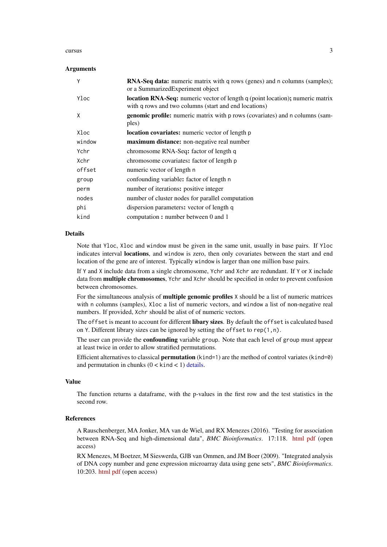#### <span id="page-2-0"></span>cursus 3

#### Arguments

| Υ      | <b>RNA-Seq data:</b> numeric matrix with q rows (genes) and n columns (samples);<br>or a Summarized Experiment object                         |
|--------|-----------------------------------------------------------------------------------------------------------------------------------------------|
| Yloc   | <b>location RNA-Seq:</b> numeric vector of length q (point location); numeric matrix<br>with q rows and two columns (start and end locations) |
| X      | <b>genomic profile:</b> numeric matrix with p rows (covariates) and n columns (sam-<br>ples)                                                  |
| Xloc   | <b>location covariates:</b> numeric vector of length p                                                                                        |
| window | maximum distance: non-negative real number                                                                                                    |
| Ychr   | chromosome RNA-Seq: factor of length q                                                                                                        |
| Xchr   | chromosome covariates: factor of length p                                                                                                     |
| offset | numeric vector of length n                                                                                                                    |
| group  | confounding variable: factor of length n                                                                                                      |
| perm   | number of iterations: positive integer                                                                                                        |
| nodes  | number of cluster nodes for parallel computation                                                                                              |
| phi    | dispersion parameters: vector of length q                                                                                                     |
| kind   | computation: number between 0 and 1                                                                                                           |

#### Details

Note that Yloc, Xloc and window must be given in the same unit, usually in base pairs. If Yloc indicates interval locations, and window is zero, then only covariates between the start and end location of the gene are of interest. Typically window is larger than one million base pairs.

If Y and X include data from a single chromosome, Ychr and Xchr are redundant. If Y or X include data from multiple chromosomes, Ychr and Xchr should be specified in order to prevent confusion between chromosomes.

For the simultaneous analysis of **multiple genomic profiles** X should be a list of numeric matrices with n columns (samples), Xloc a list of numeric vectors, and window a list of non-negative real numbers. If provided, Xchr should be alist of of numeric vectors.

The offset is meant to account for different **libary sizes**. By default the offset is calculated based on Y. Different library sizes can be ignored by setting the offset to rep(1,n).

The user can provide the **confounding** variable group. Note that each level of group must appear at least twice in order to allow stratified permutations.

Efficient alternatives to classical **permutation** (kind=1) are the method of control variates (kind=0) and permutation in chunks  $(0 \lt kind \lt 1)$  [details.](#page-0-0)

#### Value

The function returns a dataframe, with the p-values in the first row and the test statistics in the second row.

#### References

A Rauschenberger, MA Jonker, MA van de Wiel, and RX Menezes (2016). "Testing for association between RNA-Seq and high-dimensional data", *BMC Bioinformatics*. 17:118. [html](http://dx.doi.org/10.1186/s12859-016-0961-5) [pdf](http://www.biomedcentral.com/content/pdf/s12859-016-0961-5.pdf) (open access)

RX Menezes, M Boetzer, M Sieswerda, GJB van Ommen, and JM Boer (2009). "Integrated analysis of DNA copy number and gene expression microarray data using gene sets", *BMC Bioinformatics*. 10:203. [html](http://dx.doi.org/10.1186/1471-2105-10-203) [pdf](http://www.biomedcentral.com/content/pdf/1471-2105-10-203.pdf) (open access)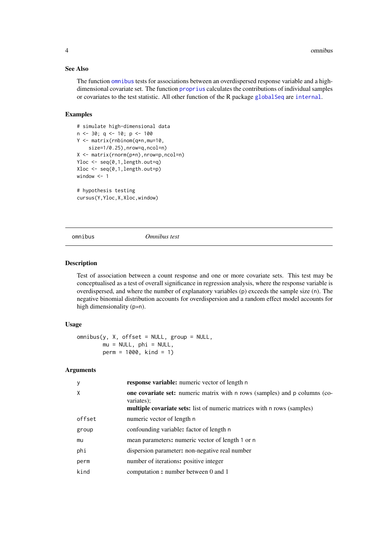#### See Also

The function [omnibus](#page-3-1) tests for associations between an overdispersed response variable and a highdimensional covariate set. The function [proprius](#page-5-1) calculates the contributions of individual samples or covariates to the test statistic. All other function of the R package [globalSeq](#page-1-2) are [internal](#page-0-0).

#### Examples

```
# simulate high-dimensional data
n \le -30; q \le -10; p \le -100Y <- matrix(rnbinom(q*n,mu=10,
    size=1/0.25),nrow=q,ncol=n)
X <- matrix(rnorm(p*n),nrow=p,ncol=n)
Yloc \leq seq(0,1, length.out=q)
Xloc <- seq(0,1,length.out=p)
window <- 1
# hypothesis testing
```
cursus(Y,Yloc,X,Xloc,window)

<span id="page-3-1"></span>

omnibus *Omnibus test*

#### Description

Test of association between a count response and one or more covariate sets. This test may be conceptualised as a test of overall significance in regression analysis, where the response variable is overdispersed, and where the number of explanatory variables (p) exceeds the sample size (n). The negative binomial distribution accounts for overdispersion and a random effect model accounts for high dimensionality (p»n).

#### Usage

```
omnibus(y, X, offset = NULL, group = NULL,mu = NULL, phi = NULL,perm = 1000, kind = 1)
```
#### Arguments

| y      | <b>response variable:</b> numeric vector of length n                                                                                                                              |
|--------|-----------------------------------------------------------------------------------------------------------------------------------------------------------------------------------|
| X      | <b>one covariate set:</b> numeric matrix with n rows (samples) and p columns (co-<br>variates);<br><b>multiple covariate sets:</b> list of numeric matrices with n rows (samples) |
| offset | numeric vector of length n                                                                                                                                                        |
| group  | confounding variable: factor of length n                                                                                                                                          |
| mu     | mean parameters: numeric vector of length 1 or n                                                                                                                                  |
| phi    | dispersion parameter: non-negative real number                                                                                                                                    |
| perm   | number of iterations: positive integer                                                                                                                                            |
| kind   | computation: number between 0 and 1                                                                                                                                               |
|        |                                                                                                                                                                                   |

<span id="page-3-0"></span>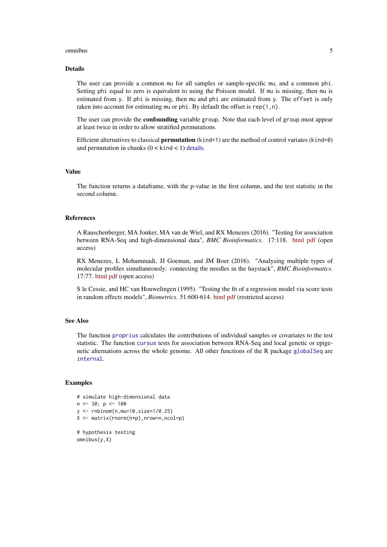#### <span id="page-4-0"></span>omnibus 5

#### Details

The user can provide a common mu for all samples or sample-specific mu, and a common phi. Setting phi equal to zero is equivalent to using the Poisson model. If mu is missing, then mu is estimated from y. If phi is missing, then mu and phi are estimated from y. The offset is only taken into account for estimating mu or phi. By default the offset is rep(1,n).

The user can provide the **confounding** variable group. Note that each level of group must appear at least twice in order to allow stratified permutations.

Efficient alternatives to classical **permutation** (kind=1) are the method of control variates (kind=0) and permutation in chunks  $(0 \lt kind \lt 1)$  [details.](#page-0-0)

#### Value

The function returns a dataframe, with the p-value in the first column, and the test statistic in the second column.

#### References

A Rauschenberger, MA Jonker, MA van de Wiel, and RX Menezes (2016). "Testing for association between RNA-Seq and high-dimensional data", *BMC Bioinformatics*. 17:118. [html](http://dx.doi.org/10.1186/s12859-016-0961-5) [pdf](http://www.biomedcentral.com/content/pdf/s12859-016-0961-5.pdf) (open access)

RX Menezes, L Mohammadi, JJ Goeman, and JM Boer (2016). "Analysing multiple types of molecular profiles simultaneously: connecting the needles in the haystack", *BMC Bioinformatics*. 17:77. [html](http://dx.doi.org/10.1186/s12859-016-0926-8) [pdf](http://www.biomedcentral.com/content/pdf/s12859-016-0926-8.pdf) (open access)

S le Cessie, and HC van Houwelingen (1995). "Testing the fit of a regression model via score tests in random effects models", *Biometrics*. 51:600-614. [html](http://dx.doi.org/10.2307/2532948) [pdf](http://www.jstor.org/stable/pdf/2532948.pdf?acceptTC=true) (restricted access)

#### See Also

The function [proprius](#page-5-1) calculates the contributions of individual samples or covariates to the test statistic. The function [cursus](#page-1-1) tests for association between RNA-Seq and local genetic or epigenetic alternations across the whole genome. All other functions of the R package [globalSeq](#page-1-2) are [internal](#page-0-0).

#### Examples

```
# simulate high-dimensional data
n \le -30; p \le -100y <- rnbinom(n,mu=10,size=1/0.25)
X <- matrix(rnorm(n*p),nrow=n,ncol=p)
# hypothesis testing
omnibus(y,X)
```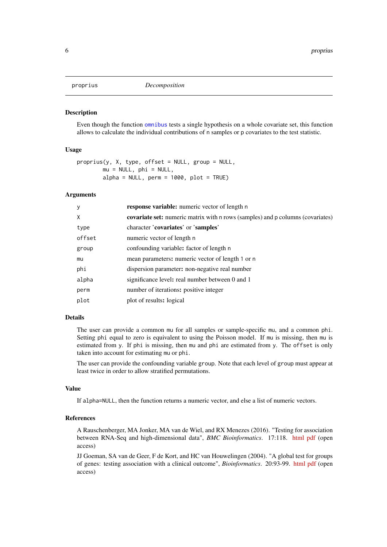<span id="page-5-1"></span><span id="page-5-0"></span>

#### Description

Even though the function [omnibus](#page-3-1) tests a single hypothesis on a whole covariate set, this function allows to calculate the individual contributions of n samples or p covariates to the test statistic.

#### Usage

```
proprius(y, X, type, offset = NULL, group = NULL,mu = NULL, phi = NULL.
        alpha = NULL, perm = 1000, plot = TRUE)
```
#### Arguments

| У      | <b>response variable:</b> numeric vector of length n                           |
|--------|--------------------------------------------------------------------------------|
| X      | covariate set: numeric matrix with n rows (samples) and p columns (covariates) |
| type   | character 'covariates' or 'samples'                                            |
| offset | numeric vector of length n                                                     |
| group  | confounding variable: factor of length n                                       |
| mu     | mean parameters: numeric vector of length 1 or n                               |
| phi    | dispersion parameter: non-negative real number                                 |
| alpha  | significance level: real number between 0 and 1                                |
| perm   | number of iterations: positive integer                                         |
| plot   | plot of results: logical                                                       |
|        |                                                                                |

#### Details

The user can provide a common mu for all samples or sample-specific mu, and a common phi. Setting phi equal to zero is equivalent to using the Poisson model. If mu is missing, then mu is estimated from y. If phi is missing, then mu and phi are estimated from y. The offset is only taken into account for estimating mu or phi.

The user can provide the confounding variable group. Note that each level of group must appear at least twice in order to allow stratified permutations.

#### Value

If alpha=NULL, then the function returns a numeric vector, and else a list of numeric vectors.

#### References

A Rauschenberger, MA Jonker, MA van de Wiel, and RX Menezes (2016). "Testing for association between RNA-Seq and high-dimensional data", *BMC Bioinformatics*. 17:118. [html](http://dx.doi.org/10.1186/s12859-016-0961-5) [pdf](http://www.biomedcentral.com/content/pdf/s12859-016-0961-5.pdf) (open access)

JJ Goeman, SA van de Geer, F de Kort, and HC van Houwelingen (2004). "A global test for groups of genes: testing association with a clinical outcome", *Bioinformatics*. 20:93-99. [html](http://dx.doi.org/10.1093/bioinformatics/btg382) [pdf](http://bioinformatics.oxfordjournals.org/content/20/1/93.full.pdf) (open access)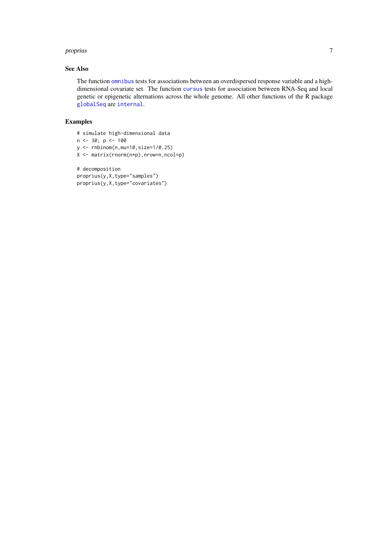#### <span id="page-6-0"></span>proprius to the contract of the contract of the contract of the contract of the contract of the contract of the contract of the contract of the contract of the contract of the contract of the contract of the contract of th

#### See Also

The function [omnibus](#page-3-1) tests for associations between an overdispersed response variable and a highdimensional covariate set. The function [cursus](#page-1-1) tests for association between RNA-Seq and local genetic or epigenetic alternations across the whole genome. All other functions of the R package [globalSeq](#page-1-2) are [internal](#page-0-0).

### Examples

```
# simulate high-dimensional data
```
- $n < -30; p < -100$
- $y \leftarrow \text{rhinom}(n, mu=10, size=1/0.25)$

```
X <- matrix(rnorm(n*p),nrow=n,ncol=p)
```

```
# decomposition
proprius(y,X,type="samples")
proprius(y,X,type="covariates")
```